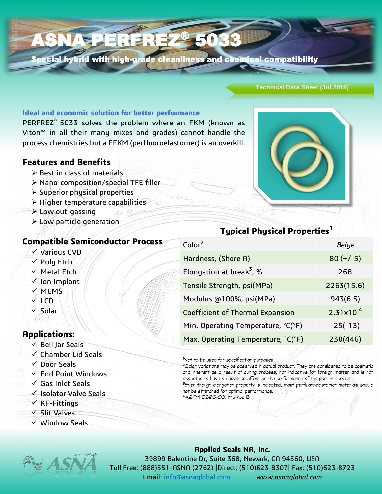### ASNA PERFREZ 5033

Special hybrid with high-grade cleanliness and chemical compatibility

#### **Technical Data Sheet (Jul 2019)**

**Ideal and economic solution for better performance**

PERFREZ<sup>®</sup> 5033 solves the problem where an FKM (known as Viton™ in all their many mixes and grades) cannot handle the process chemistries but a FFKM (perfluoroelastomer) is an overkill.

#### **Features and Benefits**

- $\triangleright$  Best in class of materials
- Nano-composition/special TFE filler
- $\triangleright$  Superior physical properties
- $\triangleright$  Higher temperature capabilities
- Low out-gassing
- $\triangleright$  Low particle generation

#### **Compatible Semiconductor Process**

- Various CVD
- $\checkmark$  Poly Etch
- $\checkmark$  Metal Etch
- Ion Implant
- $\sqrt{M}$ MEMS
- $V$  LCD
- $\checkmark$  Solar (a ))

#### **Applications:**

- $\checkmark$  Bell Jar Seals
- $\checkmark$  Chamber Lid Seals
- $\sqrt{ }$  Door Seals
- $\checkmark$  End Point Windows
- $\checkmark$  Gas Inlet Seals
- $\checkmark$  Isolator Valve Seals
- $\checkmark$  KF-Fittings
- $\checkmark$  Slit Valves
- $\checkmark$  Window Seals



# **Typical Physical Properties<sup>1</sup>**

| $\mathsf{Color}^2$                      | <b>Beige</b>   |
|-----------------------------------------|----------------|
| Hardness, (Shore A)                     | $80 (+/-5)$    |
| Elongation at break <sup>3</sup> , %    | 268            |
| Tensile Strength, psi(MPa)              | 2263(15.6)     |
| Modulus @100%, psi(MPa)                 | 943(6.5)       |
| <b>Coefficient of Thermal Expansion</b> | $2.31x10^{-4}$ |
| Min. Operating Temperature, °C(°F)      | $-25(-13)$     |
| Max. Operating Temperature, °C(°F)      | 230(446)       |
|                                         |                |

'Not to be used for specification purposes

<sup>2</sup>Color variations may be observed in actual product. They are considered to be cosmetic and inherent as a result of curing process, not indicative for foreign matter and is not expected to have an adverse effect on the performance of the part in service. <sup>3</sup>Even though elongation property is indicated, most perfluoroelastomer materials should

not be stretched for optimal performance. 4ASTM D395-03, Method B

#### **Applied Seals NA, Inc.**

39899 Balentine Dr, Suite 368, Newark, CA 94560, USA Toll Free: (888)551-ASNA (2762) |Direct: (510)623-8307| Fax: (510)623-8723 Email: [info@asnaglobal.com](mailto:info@asnaglobal.com) *www.asnaglobal.com*